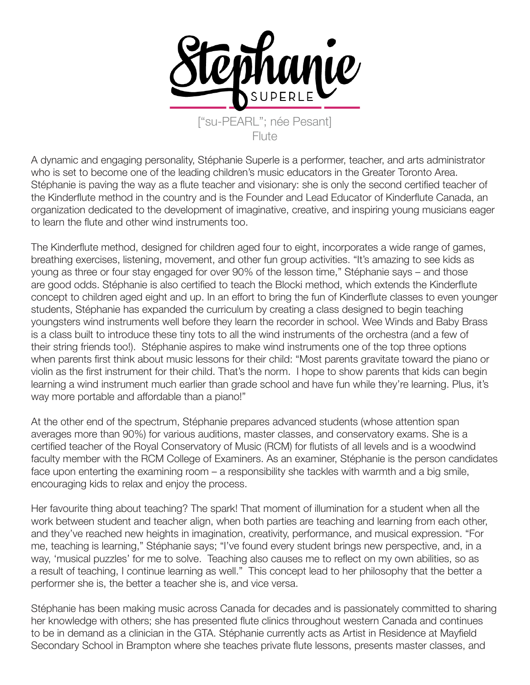

["su-PEARL"; née Pesant]  $F$ lute

A dynamic and engaging personality, Stéphanie Superle is a performer, teacher, and arts administrator who is set to become one of the leading children's music educators in the Greater Toronto Area. Stéphanie is paving the way as a flute teacher and visionary: she is only the second certified teacher of the Kinderflute method in the country and is the Founder and Lead Educator of Kinderflute Canada, an organization dedicated to the development of imaginative, creative, and inspiring young musicians eager to learn the flute and other wind instruments too.

The Kinderflute method, designed for children aged four to eight, incorporates a wide range of games, breathing exercises, listening, movement, and other fun group activities. "It's amazing to see kids as young as three or four stay engaged for over 90% of the lesson time," Stéphanie says – and those are good odds. Stéphanie is also certified to teach the Blocki method, which extends the Kinderflute concept to children aged eight and up. In an effort to bring the fun of Kinderflute classes to even younger students, Stéphanie has expanded the curriculum by creating a class designed to begin teaching youngsters wind instruments well before they learn the recorder in school. Wee Winds and Baby Brass is a class built to introduce these tiny tots to all the wind instruments of the orchestra (and a few of their string friends too!). Stéphanie aspires to make wind instruments one of the top three options when parents first think about music lessons for their child: "Most parents gravitate toward the piano or violin as the first instrument for their child. That's the norm. I hope to show parents that kids can begin learning a wind instrument much earlier than grade school and have fun while they're learning. Plus, it's way more portable and affordable than a piano!"

At the other end of the spectrum, Stéphanie prepares advanced students (whose attention span averages more than 90%) for various auditions, master classes, and conservatory exams. She is a certified teacher of the Royal Conservatory of Music (RCM) for flutists of all levels and is a woodwind faculty member with the RCM College of Examiners. As an examiner, Stéphanie is the person candidates face upon enterting the examining room – a responsibility she tackles with warmth and a big smile, encouraging kids to relax and enjoy the process.

Her favourite thing about teaching? The spark! That moment of illumination for a student when all the work between student and teacher align, when both parties are teaching and learning from each other, and they've reached new heights in imagination, creativity, performance, and musical expression. "For me, teaching is learning," Stéphanie says; "I've found every student brings new perspective, and, in a way, 'musical puzzles' for me to solve. Teaching also causes me to reflect on my own abilities, so as a result of teaching, I continue learning as well." This concept lead to her philosophy that the better a performer she is, the better a teacher she is, and vice versa.

Stéphanie has been making music across Canada for decades and is passionately committed to sharing her knowledge with others; she has presented flute clinics throughout western Canada and continues to be in demand as a clinician in the GTA. Stéphanie currently acts as Artist in Residence at Mayfield Secondary School in Brampton where she teaches private flute lessons, presents master classes, and